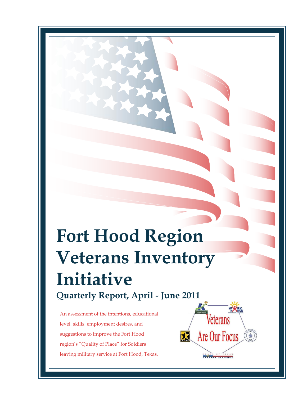## **Fort Hood Region Veterans Inventory Initiative Quarterly Report, April - June 2011**

An assessment of the intentions, educational level, skills, employment desires, and suggestions to improve the Fort Hood region's "Quality of Place" for Soldiers leaving military service at Fort Hood, Texas.

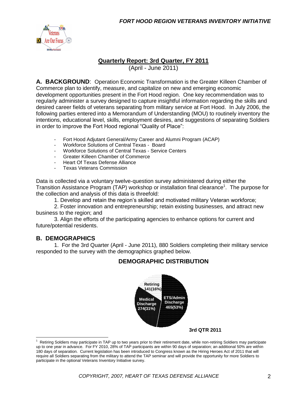

#### **Quarterly Report: 3rd Quarter, FY 2011**

(April - June 2011)

**A. BACKGROUND**: Operation Economic Transformation is the Greater Killeen Chamber of Commerce plan to identify, measure, and capitalize on new and emerging economic development opportunities present in the Fort Hood region. One key recommendation was to regularly administer a survey designed to capture insightful information regarding the skills and desired career fields of veterans separating from military service at Fort Hood. In July 2006, the following parties entered into a Memorandum of Understanding (MOU) to routinely inventory the intentions, educational level, skills, employment desires, and suggestions of separating Soldiers in order to improve the Fort Hood regional "Quality of Place":

- Fort Hood Adjutant General/Army Career and Alumni Program (ACAP)
- Workforce Solutions of Central Texas Board<br>- Workforce Solutions of Central Texas Service
- Workforce Solutions of Central Texas Service Centers
- Greater Killeen Chamber of Commerce
- Heart Of Texas Defense Alliance
- Texas Veterans Commission

Data is collected via a voluntary twelve-question survey administered during either the Transition Assistance Program (TAP) workshop or installation final clearance<sup>1</sup>. The purpose for the collection and analysis of this data is threefold:

1. Develop and retain the region's skilled and motivated military Veteran workforce;

2. Foster innovation and entrepreneurship; retain existing businesses, and attract new business to the region; and

3. Align the efforts of the participating agencies to enhance options for current and future/potential residents.

#### **B. DEMOGRAPHICS**

 $\overline{a}$ 

1. For the 3rd Quarter (April - June 2011), 880 Soldiers completing their military service responded to the survey with the demographics graphed below.

#### **DEMOGRAPHIC DISTRIBUTION**



**3rd QTR 2011**

<sup>1</sup> Retiring Soldiers may participate in TAP up to two years prior to their retirement date, while non-retiring Soldiers may participate up to one year in advance. For FY 2010, 28% of TAP participants are within 90 days of separation; an additional 50% are within 180 days of separation. Current legislation has been introduced to Congress known as the Hiring Heroes Act of 2011 that will require all Soldiers separating from the military to attend the TAP seminar and will provide the opportunity for more Soldiers to participate in the optional Veterans Inventory Initiative survey.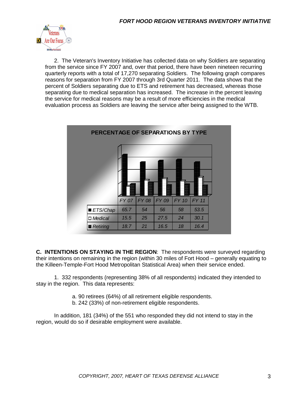

2. The Veteran's Inventory Initiative has collected data on why Soldiers are separating from the service since FY 2007 and, over that period, there have been nineteen recurring quarterly reports with a total of 17,270 separating Soldiers. The following graph compares reasons for separation from FY 2007 through 3rd Quarter 2011. The data shows that the percent of Soldiers separating due to ETS and retirement has decreased, whereas those separating due to medical separation has increased. The increase in the percent leaving the service for medical reasons may be a result of more efficiencies in the medical evaluation process as Soldiers are leaving the service after being assigned to the WTB.

| PERCENTAGE OF SEPARATIONS BY TYPE |              |              |       |              |              |  |
|-----------------------------------|--------------|--------------|-------|--------------|--------------|--|
|                                   |              |              |       |              |              |  |
|                                   | <b>FY 07</b> | <b>FY 08</b> | FY 09 | <b>FY 10</b> | <b>FY 11</b> |  |
| ■ ETS/Chap                        | 65.7         | 54           | 56    | 58           | 53.5         |  |
| <b>D</b> Medical                  | 15.5         | 25           | 27.5  | 24           | 30.1         |  |
| Retiring                          | 18.7         | 21           | 16.5  | 18           | 16.4         |  |

**C. INTENTIONS ON STAYING IN THE REGION**: The respondents were surveyed regarding their intentions on remaining in the region (within 30 miles of Fort Hood – generally equating to the Killeen-Temple-Fort Hood Metropolitan Statistical Area) when their service ended.

1. 332 respondents (representing 38% of all respondents) indicated they intended to stay in the region. This data represents:

- a. 90 retirees (64%) of all retirement eligible respondents.
- b. 242 (33%) of non-retirement eligible respondents.

In addition, 181 (34%) of the 551 who responded they did not intend to stay in the region, would do so if desirable employment were available.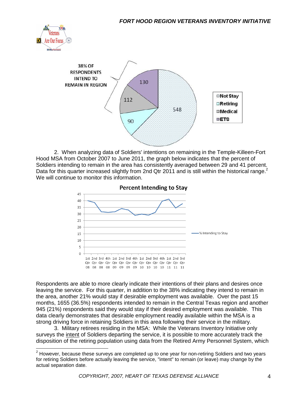



2. When analyzing data of Soldiers' intentions on remaining in the Temple-Killeen-Fort Hood MSA from October 2007 to June 2011, the graph below indicates that the percent of Soldiers intending to remain in the area has consistently averaged between 29 and 41 percent. Data for this quarter increased slightly from 2nd Qtr 2011 and is still within the historical range.<sup>2</sup> We will continue to monitor this information.



Respondents are able to more clearly indicate their intentions of their plans and desires once leaving the service. For this quarter, in addition to the 38% indicating they intend to remain in the area, another 21% would stay if desirable employment was available. Over the past 15 months, 1655 (36.5%) respondents intended to remain in the Central Texas region and another 945 (21%) respondents said they would stay if their desired employment was available. This data clearly demonstrates that desirable employment readily available within the MSA is a strong driving force in retaining Soldiers in this area following their service in the military.

3. Military retirees residing in the MSA: While the Veterans Inventory Initiative only surveys the intent of Soldiers departing the service, it is possible to more accurately track the disposition of the retiring population using data from the Retired Army Personnel System, which

 $2$  However, because these surveys are completed up to one year for non-retiring Soldiers and two years for retiring Soldiers before actually leaving the service, "intent" to remain (or leave) may change by the actual separation date.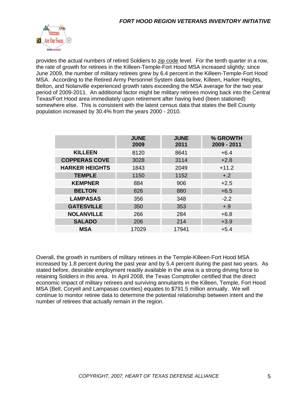

provides the actual numbers of retired Soldiers to zip code level. For the tenth quarter in a row, the rate of growth for retirees in the Killeen-Temple-Fort Hood MSA increased slightly; since June 2009, the number of military retirees grew by 6.4 percent in the Killeen-Temple-Fort Hood MSA. According to the Retired Army Personnel System data below, Killeen, Harker Heights, Belton, and Nolanville experienced growth rates exceeding the MSA average for the two year period of 2009-2011. An additional factor might be military retirees moving back into the Central Texas/Fort Hood area immediately upon retirement after having lived (been stationed) somewhere else. This is consistent with the latest census data that states the Bell County population increased by 30.4% from the years 2000 - 2010.

|                       | <b>JUNE</b><br>2009 | <b>JUNE</b><br>2011 | % GROWTH<br>2009 - 2011 |
|-----------------------|---------------------|---------------------|-------------------------|
| <b>KILLEEN</b>        | 8120                | 8641                | $+6.4$                  |
| <b>COPPERAS COVE</b>  | 3028                | 3114                | $+2.8$                  |
| <b>HARKER HEIGHTS</b> | 1843                | 2049                | $+11.2$                 |
| <b>TEMPLE</b>         | 1150                | 1152                | $+.2$                   |
| <b>KEMPNER</b>        | 884                 | 906                 | $+2.5$                  |
| <b>BELTON</b>         | 826                 | 880                 | $+6.5$                  |
| <b>LAMPASAS</b>       | 356                 | 348                 | $-2.2$                  |
| <b>GATESVILLE</b>     | 350                 | 353                 | $+.9$                   |
| <b>NOLANVILLE</b>     | 266                 | 284                 | $+6.8$                  |
| <b>SALADO</b>         | 206                 | 214                 | $+3.9$                  |
| <b>MSA</b>            | 17029               | 17941               | $+5.4$                  |

Overall, the growth in numbers of military retirees in the Temple-Killeen-Fort Hood MSA increased by 1.8 percent during the past year and by 5.4 percent during the past two years. As stated before, desirable employment readily available in the area is a strong driving force to retaining Soldiers in this area. In April 2008, the Texas Comptroller certified that the direct economic impact of military retirees and surviving annuitants in the Killeen, Temple, Fort Hood MSA (Bell, Coryell and Lampasas counties) equates to \$791.5 million annually. We will continue to monitor retiree data to determine the potential relationship between intent and the number of retirees that actually remain in the region.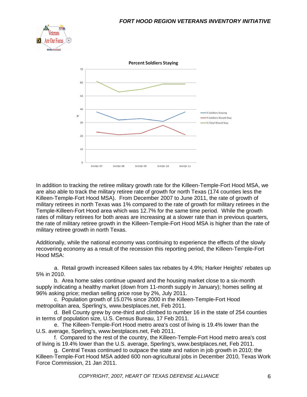



In addition to tracking the retiree military growth rate for the Killeen-Temple-Fort Hood MSA, we are also able to track the military retiree rate of growth for north Texas (174 counties less the Killeen-Temple-Fort Hood MSA). From December 2007 to June 2011, the rate of growth of military retirees in north Texas was 1% compared to the rate of growth for military retirees in the Temple-Killeen-Fort Hood area which was 12.7% for the same time period. While the growth rates of military retirees for both areas are increasing at a slower rate than in previous quarters, the rate of military retiree growth in the Killeen-Temple-Fort Hood MSA is higher than the rate of military retiree growth in north Texas.

Additionally, while the national economy was continuing to experience the effects of the slowly recovering economy as a result of the recession this reporting period, the Killeen-Temple-Fort Hood MSA:

a. Retail growth increased Killeen sales tax rebates by 4.9%; Harker Heights' rebates up 5% in 2010.

b. Area home sales continue upward and the housing market close to a six-month supply indicating a healthy market (down from 11-month supply in January); homes selling at 96% asking price; median selling price rose by 2%, July 2011.

c. Population growth of 15.07% since 2000 in the Killeen-Temple-Fort Hood metropolitan area, Sperling's, www.bestplaces.net, Feb 2011.

d. Bell County grew by one-third and climbed to number 16 in the state of 254 counties in terms of population size, U.S. Census Bureau, 17 Feb 2011.

e. The Killeen-Temple-Fort Hood metro area's cost of living is 19.4% lower than the U.S. average, Sperling's, www.bestplaces.net, Feb 2011.

f. Compared to the rest of the country, the Killeen-Temple-Fort Hood metro area's cost of living is 19.4% lower than the U.S. average, Sperling's, www.bestplaces.net, Feb 2011.

g. Central Texas continued to outpace the state and nation in job growth in 2010; the Killeen-Temple-Fort Hood MSA added 600 non-agricultural jobs in December 2010, Texas Work Force Commission, 21 Jan 2011.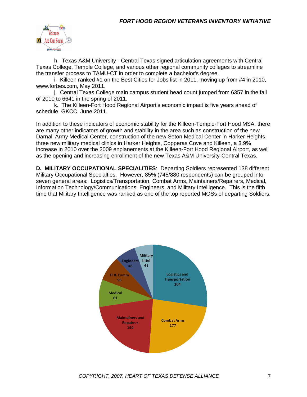

h. Texas A&M University - Central Texas signed articulation agreements with Central Texas College, Temple College, and various other regional community colleges to streamline the transfer process to TAMU-CT in order to complete a bachelor's degree.

i. Killeen ranked #1 on the Best Cities for Jobs list in 2011, moving up from #4 in 2010, www.forbes.com, May 2011.

j. Central Texas College main campus student head count jumped from 6357 in the fall of 2010 to 6641 in the spring of 2011.

k. The Killeen-Fort Hood Regional Airport's economic impact is five years ahead of schedule, GKCC, June 2011.

In addition to these indicators of economic stability for the Killeen-Temple-Fort Hood MSA, there are many other indicators of growth and stability in the area such as construction of the new Darnall Army Medical Center, construction of the new Seton Medical Center in Harker Heights, three new military medical clinics in Harker Heights, Copperas Cove and Killeen, a 3.9% increase in 2010 over the 2009 enplanements at the Killeen-Fort Hood Regional Airport, as well as the opening and increasing enrollment of the new Texas A&M University-Central Texas.

**D. MILITARY OCCUPATIONAL SPECIALITIES**: Departing Soldiers represented 138 different Military Occupational Specialties. However, 85% (745/880 respondents) can be grouped into seven general areas: Logistics/Transportation, Combat Arms, Maintainers/Repairers, Medical, Information Technology/Communications, Engineers, and Military Intelligence. This is the fifth time that Military Intelligence was ranked as one of the top reported MOSs of departing Soldiers.

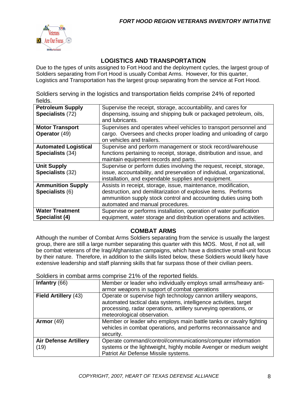

#### **LOGISTICS AND TRANSPORTATION**

Due to the types of units assigned to Fort Hood and the deployment cycles, the largest group of Soldiers separating from Fort Hood is usually Combat Arms. However, for this quarter, Logistics and Transportation has the largest group separating from the service at Fort Hood.

Soldiers serving in the logistics and transportation fields comprise 24% of reported fields.

| <b>Petroleum Supply</b><br>Specialists (72)     | Supervise the receipt, storage, accountability, and cares for<br>dispensing, issuing and shipping bulk or packaged petroleum, oils,<br>and lubricants.                                                                                   |
|-------------------------------------------------|------------------------------------------------------------------------------------------------------------------------------------------------------------------------------------------------------------------------------------------|
| <b>Motor Transport</b><br><b>Operator</b> (49)  | Supervises and operates wheel vehicles to transport personnel and<br>cargo. Oversees and checks proper loading and unloading of cargo<br>on vehicles and trailers.                                                                       |
| <b>Automated Logistical</b><br>Specialists (34) | Supervise and perform management or stock record/warehouse<br>functions pertaining to receipt, storage, distribution and issue, and<br>maintain equipment records and parts.                                                             |
| <b>Unit Supply</b><br>Specialists (32)          | Supervise or perform duties involving the request, receipt, storage,<br>issue, accountability, and preservation of individual, organizational,<br>installation, and expendable supplies and equipment.                                   |
| <b>Ammunition Supply</b><br>Specialists (6)     | Assists in receipt, storage, issue, maintenance, modification,<br>destruction, and demilitarization of explosive items. Performs<br>ammunition supply stock control and accounting duties using both<br>automated and manual procedures. |
| <b>Water Treatment</b><br>Specialist (4)        | Supervise or performs installation, operation of water purification<br>equipment, water storage and distribution operations and activities.                                                                                              |

#### **COMBAT ARMS**

Although the number of Combat Arms Soldiers separating from the service is usually the largest group, there are still a large number separating this quarter with this MOS. Most, if not all, will be combat veterans of the Iraq/Afghanistan campaigns, which have a distinctive small-unit focus by their nature. Therefore, in addition to the skills listed below, these Soldiers would likely have extensive leadership and staff planning skills that far surpass those of their civilian peers.

Soldiers in combat arms comprise 21% of the reported fields.

| Infantry $(66)$              | Member or leader who individually employs small arms/heavy anti-   |  |  |  |
|------------------------------|--------------------------------------------------------------------|--|--|--|
|                              | armor weapons in support of combat operations                      |  |  |  |
| Field Artillery (43)         | Operate or supervise high technology cannon artillery weapons,     |  |  |  |
|                              | automated tactical data systems, intelligence activities, target   |  |  |  |
|                              | processing, radar operations, artillery surveying operations, or   |  |  |  |
|                              | meteorological observation.                                        |  |  |  |
| Armor $(49)$                 | Member or leader who employs main battle tanks or cavalry fighting |  |  |  |
|                              | vehicles in combat operations, and performs reconnaissance and     |  |  |  |
|                              | security.                                                          |  |  |  |
| <b>Air Defense Artillery</b> | Operate command/control/communications/computer information        |  |  |  |
| (19)                         | systems or the lightweight, highly mobile Avenger or medium weight |  |  |  |
|                              | Patriot Air Defense Missile systems.                               |  |  |  |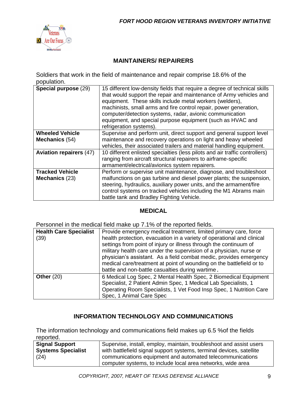

#### **MAINTAINERS/ REPAIRERS**

Soldiers that work in the field of maintenance and repair comprise 18.6% of the population.

| Special purpose (29)                     | 15 different low-density fields that require a degree of technical skills<br>that would support the repair and maintenance of Army vehicles and<br>equipment. These skills include metal workers (welders),<br>machinists, small arms and fire control repair, power generation,<br>computer/detection systems, radar, avionic communication<br>equipment, and special purpose equipment (such as HVAC and<br>refrigeration systems). |
|------------------------------------------|---------------------------------------------------------------------------------------------------------------------------------------------------------------------------------------------------------------------------------------------------------------------------------------------------------------------------------------------------------------------------------------------------------------------------------------|
| <b>Wheeled Vehicle</b>                   | Supervise and perform unit, direct support and general support level                                                                                                                                                                                                                                                                                                                                                                  |
| Mechanics (54)                           | maintenance and recovery operations on light and heavy wheeled<br>vehicles, their associated trailers and material handling equipment.                                                                                                                                                                                                                                                                                                |
| <b>Aviation repairers (47)</b>           | 10 different enlisted specialties (less pilots and air traffic controllers)<br>ranging from aircraft structural repairers to airframe-specific<br>armament/electrical/avionics system repairers.                                                                                                                                                                                                                                      |
| <b>Tracked Vehicle</b><br>Mechanics (23) | Perform or supervise unit maintenance, diagnose, and troubleshoot<br>malfunctions on gas turbine and diesel power plants; the suspension,<br>steering, hydraulics, auxiliary power units, and the armament/fire<br>control systems on tracked vehicles including the M1 Abrams main<br>battle tank and Bradley Fighting Vehicle.                                                                                                      |

#### **MEDICAL**

Personnel in the medical field make up 7.1% of the reported fields.

| <b>Health Care Specialist</b> | Provide emergency medical treatment, limited primary care, force                                                                                                                                                                                                                                                                                                                                                     |
|-------------------------------|----------------------------------------------------------------------------------------------------------------------------------------------------------------------------------------------------------------------------------------------------------------------------------------------------------------------------------------------------------------------------------------------------------------------|
| (39)                          | health protection, evacuation in a variety of operational and clinical<br>settings from point of injury or illness through the continuum of<br>military health care under the supervision of a physician, nurse or<br>physician's assistant. As a field combat medic, provides emergency<br>medical care/treatment at point of wounding on the battlefield or to<br>battle and non-battle casualties during wartime. |
| Other $(20)$                  | 6 Medical Log Spec, 2 Mental Health Spec, 2 Biomedical Equipment<br>Specialist, 2 Patient Admin Spec, 1 Medical Lab Specialists, 1<br>Operating Room Specialists, 1 Vet Food Insp Spec, 1 Nutrition Care<br>Spec, 1 Animal Care Spec                                                                                                                                                                                 |

#### **INFORMATION TECHNOLOGY AND COMMUNICATIONS**

The information technology and communications field makes up 6.5 %of the fields reported.

| <b>Signal Support</b>     | Supervise, install, employ, maintain, troubleshoot and assist users  |  |  |
|---------------------------|----------------------------------------------------------------------|--|--|
| <b>Systems Specialist</b> | with battlefield signal support systems, terminal devices, satellite |  |  |
| (24)                      | communications equipment and automated telecommunications            |  |  |
|                           | computer systems, to include local area networks, wide area          |  |  |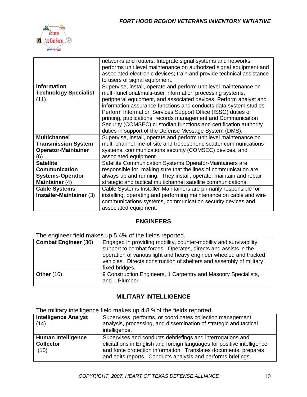

|                              | networks and routers. Integrate signal systems and networks;          |
|------------------------------|-----------------------------------------------------------------------|
|                              | performs unit level maintenance on authorized signal equipment and    |
|                              | associated electronic devices; train and provide technical assistance |
|                              | to users of signal equipment.                                         |
| <b>Information</b>           | Supervise, install, operate and perform unit level maintenance on     |
| <b>Technology Specialist</b> | multi-functional/multi-user information processing systems,           |
| (11)                         | peripheral equipment, and associated devices. Perform analyst and     |
|                              | information assurance functions and conducts data system studies.     |
|                              | Perform Information Services Support Office (ISSO) duties of          |
|                              | printing, publications, records management and Communication          |
|                              | Security (COMSEC) custodian functions and certification authority     |
|                              | duties in support of the Defense Message System (DMS).                |
| <b>Multichannel</b>          | Supervise, install, operate and perform unit level maintenance on     |
| <b>Transmission System</b>   | multi-channel line-of-site and tropospheric scatter communications    |
| <b>Operator-Maintainer</b>   | systems, communications security (COMSEC) devices, and                |
|                              |                                                                       |
| (6)                          | associated equipment.                                                 |
| <b>Satellite</b>             | Satellite Communication Systems Operator-Maintainers are              |
| <b>Communication</b>         | responsible for making sure that the lines of communication are       |
| <b>Systems-Operator</b>      | always up and running. They install, operate, maintain and repair     |
| Maintainer (4)               | strategic and tactical multichannel satellite communications.         |
| <b>Cable Systems</b>         | Cable Systems Installer-Maintainers are primarily responsible for     |
| Installer-Maintainer (3)     | installing, operating and performing maintenance on cable and wire    |
|                              | communications systems, communication security devices and            |

#### **ENGINEERS**

The engineer field makes up 5.4% of the fields reported.

| <b>Combat Engineer (30)</b> | Engaged in providing mobility, counter-mobility and survivability<br>support to combat forces. Operates, directs and assists in the<br>operation of various light and heavy engineer wheeled and tracked<br>vehicles. Directs construction of shelters and assembly of military<br>fixed bridges. |
|-----------------------------|---------------------------------------------------------------------------------------------------------------------------------------------------------------------------------------------------------------------------------------------------------------------------------------------------|
| <b>Other (16)</b>           | 9 Construction Engineers, 1 Carpentry and Masonry Specialists,<br>and 1 Plumber                                                                                                                                                                                                                   |

#### **MILITARY INTELLIGENCE**

The military intelligence field makes up 4.8 %of the fields reported.

| <b>Intelligence Analyst</b><br>(14)                   | Supervises, performs, or coordinates collection management,<br>analysis, processing, and dissemination of strategic and tactical<br>intelligence.                                                                                                                         |
|-------------------------------------------------------|---------------------------------------------------------------------------------------------------------------------------------------------------------------------------------------------------------------------------------------------------------------------------|
| <b>Human Intelligence</b><br><b>Collector</b><br>(10) | Supervises and conducts debriefings and interrogations and<br>elicitations in English and foreign languages for positive intelligence<br>and force protection information. Translates documents, prepares<br>and edits reports. Conducts analysis and performs briefings. |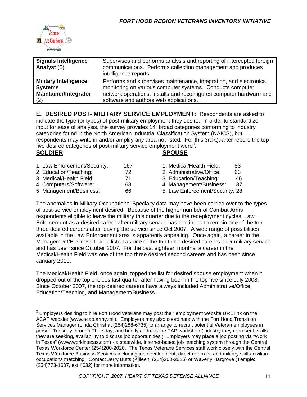

| <b>Signals Intelligence</b><br>Analyst (5) | Supervises and performs analysis and reporting of intercepted foreign<br>communications. Performs collection management and produces<br>intelligence reports. |
|--------------------------------------------|---------------------------------------------------------------------------------------------------------------------------------------------------------------|
| <b>Military Intelligence</b>               | Performs and supervises maintenance, integration, and electronics                                                                                             |
| <b>Systems</b>                             | monitoring on various computer systems. Conducts computer                                                                                                     |
| <b>Maintainer/Integrator</b>               | network operations, installs and reconfigures computer hardware and                                                                                           |
| (2)                                        | software and authors web applications.                                                                                                                        |

**E. DESIRED POST- MILITARY SERVICE EMPLOYMENT:** Respondents are asked to indicate the type (or types) of post-military employment they desire. In order to standardize input for ease of analysis, the survey provides 14 broad categories conforming to industry categories found in the North American Industrial Classification System (NAICS), but respondents may write in and/or amplify any area not listed. For this 3rd Quarter report, the top five desired categories of post-military service employment were<sup>3</sup>:

#### **SOLDIER SPOUSE**

| 1. Law Enforcement/Security:       | 16 |
|------------------------------------|----|
| 2. Education/Teaching:             | 72 |
| 3. Medical/Health Field:           | 71 |
| $\sim$ $\sim$ $\sim$ $\sim$ $\sim$ |    |

4. Computers/Software: 68 4. Management/Business: 37

7 1. Medical/Health Field: 83 2. Administrative/Office: 63 3. Education/Teaching: 46

5. Management/Business: 66 5. Law Enforcement/Security: 28

The anomalies in Military Occupational Specialty data may have been carried over to the types of post-service employment desired. Because of the higher number of Combat Arms respondents eligible to leave the military this quarter due to the redeployment cycles, Law Enforcement as a desired career after military service has continued to remain one of the top three desired careers after leaving the service since Oct 2007. A wide range of possibilities available in the Law Enforcement area is apparently appealing. Once again, a career in the Management/Business field is listed as one of the top three desired careers after military service and has been since October 2007. For the past eighteen months, a career in the Medical/Health Field was one of the top three desired second careers and has been since January 2010.

The Medical/Health Field, once again, topped the list for desired spouse employment when it dropped out of the top choices last quarter after having been in the top five since July 2008. Since October 2007, the top desired careers have always included Administrative/Office, Education/Teaching, and Management/Business.

 $3$  Employers desiring to hire Fort Hood veterans may post their employment website URL link on the ACAP website (www.acap.army.mil). Employers may also coordinate with the Fort Hood Transition Services Manager (Linda Christ at (254)288-6735) to arrange to recruit potential Veteran employees in person Tuesday through Thursday, and briefly address the TAP workshop (industry they represent, skills they are seeking, availability to discuss job opportunities.) Employers may place a job posting via "Work in Texas" (www.workintexas.com) - a statewide, internet-based job matching system through the Central Texas Workforce Center (254)200-2020. The Texas Veterans Services staff work closely with the Central Texas Workforce Business Services including job development, direct referrals, and military skills-civilian occupations matching. Contact Jerry Butts (Killeen: (254)200-2026) or Waverly Hargrove (Temple: (254)773-1607, ext 4032) for more information.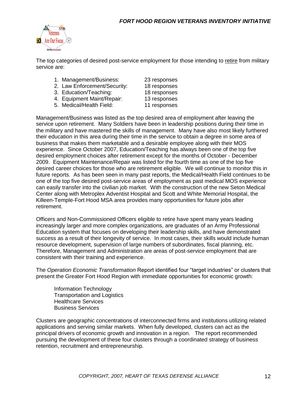

The top categories of desired post-service employment for those intending to retire from military service are:

- 1. Management/Business: 23 responses
- 2. Law Enforcement/Security: 18 responses
- 3. Education/Teaching: 18 responses
- 
- 4. Equipment Maint/Repair: 13 responses
- 5. Medical/Health Field: 11 responses

Management/Business was listed as the top desired area of employment after leaving the service upon retirement. Many Soldiers have been in leadership positions during their time in the military and have mastered the skills of management. Many have also most likely furthered their education in this area during their time in the service to obtain a degree in some area of business that makes them marketable and a desirable employee along with their MOS experience. Since October 2007, Education/Teaching has always been one of the top five desired employment choices after retirement except for the months of October - December 2009. Equipment Maintenance/Repair was listed for the fourth time as one of the top five desired career choices for those who are retirement eligible. We will continue to monitor this in future reports. As has been seen in many past reports, the Medical/Health Field continues to be one of the top five desired post-service areas of employment as past medical MOS experience can easily transfer into the civilian job market. With the construction of the new Seton Medical Center along with Metroplex Adventist Hospital and Scott and White Memorial Hospital, the Killeen-Temple-Fort Hood MSA area provides many opportunities for future jobs after retirement.

Officers and Non-Commissioned Officers eligible to retire have spent many years leading increasingly larger and more complex organizations, are graduates of an Army Professional Education system that focuses on developing their leadership skills, and have demonstrated success as a result of their longevity of service. In most cases, their skills would include human resource development, supervision of large numbers of subordinates, fiscal planning, etc. Therefore, Management and Administration are areas of post-service employment that are consistent with their training and experience.

The *Operation Economic Transformation* Report identified four "target industries" or clusters that present the Greater Fort Hood Region with immediate opportunities for economic growth:

Information Technology Transportation and Logistics Healthcare Services Business Services

Clusters are geographic concentrations of interconnected firms and institutions utilizing related applications and serving similar markets. When fully developed, clusters can act as the principal drivers of economic growth and innovation in a region. The report recommended pursuing the development of these four clusters through a coordinated strategy of business retention, recruitment and entrepreneurship.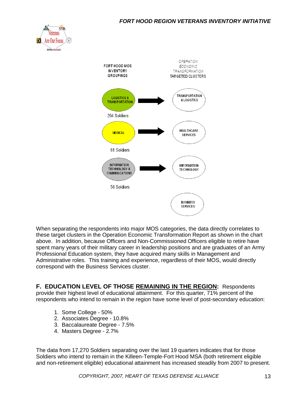#### *FORT HOOD REGION VETERANS INVENTORY INITIATIVE*





When separating the respondents into major MOS categories, the data directly correlates to these target clusters in the Operation Economic Transformation Report as shown in the chart above. In addition, because Officers and Non-Commissioned Officers eligible to retire have spent many years of their military career in leadership positions and are graduates of an Army Professional Education system, they have acquired many skills in Management and Administrative roles. This training and experience, regardless of their MOS, would directly correspond with the Business Services cluster.

**F. EDUCATION LEVEL OF THOSE REMAINING IN THE REGION:** Respondents provide their highest level of educational attainment. For this quarter, 71% percent of the respondents who intend to remain in the region have some level of post-secondary education:

- 1. Some College 50%
- 2. Associates Degree 10.8%
- 3. Baccalaureate Degree 7.5%
- 4. Masters Degree 2.7%

The data from 17,270 Soldiers separating over the last 19 quarters indicates that for those Soldiers who intend to remain in the Killeen-Temple-Fort Hood MSA (both retirement eligible and non-retirement eligible) educational attainment has increased steadily from 2007 to present.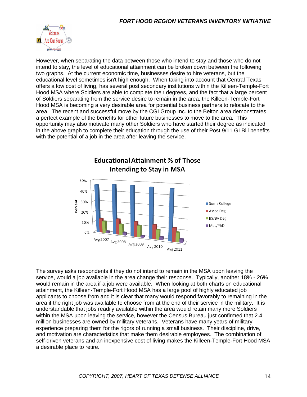

However, when separating the data between those who intend to stay and those who do not intend to stay, the level of educational attainment can be broken down between the following two graphs. At the current economic time, businesses desire to hire veterans, but the educational level sometimes isn't high enough. When taking into account that Central Texas offers a low cost of living, has several post secondary institutions within the Killeen-Temple-Fort Hood MSA where Soldiers are able to complete their degrees, and the fact that a large percent of Soldiers separating from the service desire to remain in the area, the Killeen-Temple-Fort Hood MSA is becoming a very desirable area for potential business partners to relocate to the area. The recent and successful move by the CGI Group Inc. to the Belton area demonstrates a perfect example of the benefits for other future businesses to move to the area. This opportunity may also motivate many other Soldiers who have started their degree as indicated in the above graph to complete their education through the use of their Post 9/11 GI Bill benefits with the potential of a job in the area after leaving the service.



The survey asks respondents if they do not intend to remain in the MSA upon leaving the service, would a job available in the area change their response. Typically, another 18% - 26% would remain in the area if a job were available. When looking at both charts on educational attainment, the Killeen-Temple-Fort Hood MSA has a large pool of highly educated job applicants to choose from and it is clear that many would respond favorably to remaining in the area if the right job was available to choose from at the end of their service in the military. It is understandable that jobs readily available within the area would retain many more Soldiers within the MSA upon leaving the service, however the Census Bureau just confirmed that 2.4 million businesses are owned by military veterans. Veterans have many years of military experience preparing them for the rigors of running a small business. Their discipline, drive, and motivation are characteristics that make them desirable employees. The combination of self-driven veterans and an inexpensive cost of living makes the Killeen-Temple-Fort Hood MSA a desirable place to retire.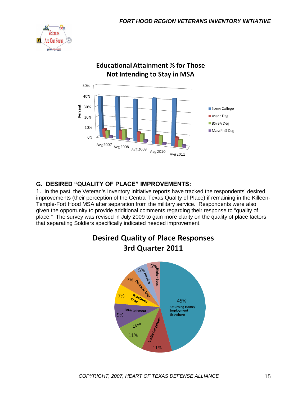



#### **Educational Attainment % for Those** Not Intending to Stay in MSA

#### **G. DESIRED "QUALITY OF PLACE" IMPROVEMENTS:**

1. In the past, the Veteran's Inventory Initiative reports have tracked the respondents' desired improvements (their perception of the Central Texas Quality of Place) if remaining in the Killeen-Temple-Fort Hood MSA after separation from the military service. Respondents were also given the opportunity to provide additional comments regarding their response to "quality of place." The survey was revised in July 2009 to gain more clarity on the quality of place factors that separating Soldiers specifically indicated needed improvement.



# **Desired Quality of Place Responses**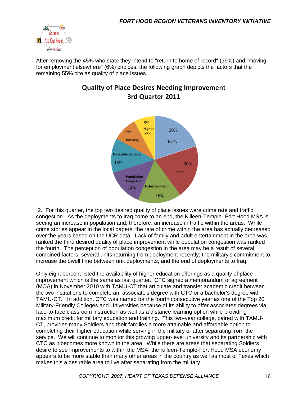

After removing the 45% who state they intend to "return to home of record" (39%) and "moving for employment elsewhere" (6%) choices, the following graph depicts the factors that the remaining 55% cite as quality of place issues.



### **Quality of Place Desires Needing Improvement** 3rd Quarter 2011

2. For this quarter, the top two desired quality of place issues were crime rate and traffic congestion. As the deployments to Iraq come to an end, the Killeen-Temple- Fort Hood MSA is seeing an increase in population and, therefore, an increase in traffic within the areas. While crime stories appear in the local papers, the rate of crime within the area has actually decreased over the years based on the UCR data. Lack of family and adult entertainment in the area was ranked the third desired quality of place improvement while population congestion was ranked the fourth. The perception of population congestion in the area may be a result of several combined factors: several units returning from deployment recently; the military's commitment to increase the dwell time between unit deployments; and the end of deployments to Iraq.

Only eight percent listed the availability of higher education offerings as a quality of place improvement which is the same as last quarter. CTC signed a memorandum of agreement (MOA) in November 2010 with TAMU-CT that articulate and transfer academic credit between the two institutions to complete an associate's degree with CTC or a bachelor's degree with TAMU-CT. In addition, CTC was named for the fourth consecutive year as one of the Top 20 Military-Friendly Colleges and Universities because of its ability to offer associates degrees via face-to-face classroom instruction as well as a distance learning option while providing maximum credit for military education and training. This two-year college, paired with TAMU-CT, provides many Soldiers and their families a more attainable and affordable option to completing their higher education while serving in the military or after separating from the service. We will continue to monitor this growing upper-level university and its partnership with CTC as it becomes more known in the area. While there are areas that separating Soldiers desire to see improvements to within the MSA, the Killeen-Temple-Fort Hood MSA economy appears to be more stable than many other areas in the country as well as most of Texas which makes this a desirable area to live after separating from the military.